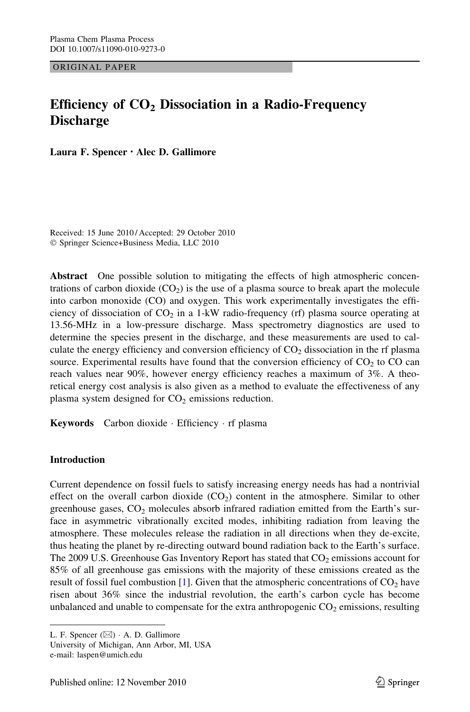ORIGINAL PAPER

# Efficiency of  $CO<sub>2</sub>$  Dissociation in a Radio-Frequency **Discharge**

Laura F. Spencer • Alec D. Gallimore

Received: 15 June 2010 / Accepted: 29 October 2010 - Springer Science+Business Media, LLC 2010

Abstract One possible solution to mitigating the effects of high atmospheric concentrations of carbon dioxide  $(CO<sub>2</sub>)$  is the use of a plasma source to break apart the molecule into carbon monoxide (CO) and oxygen. This work experimentally investigates the efficiency of dissociation of  $CO<sub>2</sub>$  in a 1-kW radio-frequency (rf) plasma source operating at 13.56-MHz in a low-pressure discharge. Mass spectrometry diagnostics are used to determine the species present in the discharge, and these measurements are used to calculate the energy efficiency and conversion efficiency of  $CO<sub>2</sub>$  dissociation in the rf plasma source. Experimental results have found that the conversion efficiency of  $CO<sub>2</sub>$  to  $CO$  can reach values near 90%, however energy efficiency reaches a maximum of 3%. A theoretical energy cost analysis is also given as a method to evaluate the effectiveness of any plasma system designed for  $CO<sub>2</sub>$  emissions reduction.

Keywords Carbon dioxide · Efficiency · rf plasma

# Introduction

Current dependence on fossil fuels to satisfy increasing energy needs has had a nontrivial effect on the overall carbon dioxide  $(CO<sub>2</sub>)$  content in the atmosphere. Similar to other greenhouse gases,  $CO<sub>2</sub>$  molecules absorb infrared radiation emitted from the Earth's surface in asymmetric vibrationally excited modes, inhibiting radiation from leaving the atmosphere. These molecules release the radiation in all directions when they de-excite, thus heating the planet by re-directing outward bound radiation back to the Earth's surface. The 2009 U.S. Greenhouse Gas Inventory Report has stated that  $CO<sub>2</sub>$  emissions account for 85% of all greenhouse gas emissions with the majority of these emissions created as the result of fossil fuel combustion [\[1\]](#page-10-0). Given that the atmospheric concentrations of  $CO<sub>2</sub>$  have risen about 36% since the industrial revolution, the earth's carbon cycle has become unbalanced and unable to compensate for the extra anthropogenic  $CO<sub>2</sub>$  emissions, resulting

L. F. Spencer  $(\boxtimes) \cdot A$ . D. Gallimore

University of Michigan, Ann Arbor, MI, USA

e-mail: laspen@umich.edu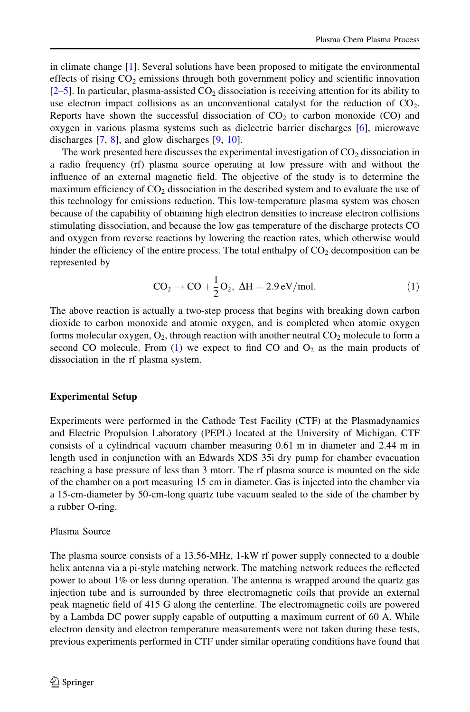<span id="page-1-0"></span>in climate change [\[1\]](#page-10-0). Several solutions have been proposed to mitigate the environmental effects of rising  $CO<sub>2</sub>$  emissions through both government policy and scientific innovation  $[2-5]$ . In particular, plasma-assisted  $CO<sub>2</sub>$  dissociation is receiving attention for its ability to use electron impact collisions as an unconventional catalyst for the reduction of  $CO<sub>2</sub>$ . Reports have shown the successful dissociation of  $CO<sub>2</sub>$  to carbon monoxide (CO) and oxygen in various plasma systems such as dielectric barrier discharges [\[6\]](#page-10-0), microwave discharges  $[7, 8]$  $[7, 8]$  $[7, 8]$  $[7, 8]$ , and glow discharges  $[9, 10]$  $[9, 10]$  $[9, 10]$  $[9, 10]$ .

The work presented here discusses the experimental investigation of  $CO<sub>2</sub>$  dissociation in a radio frequency (rf) plasma source operating at low pressure with and without the influence of an external magnetic field. The objective of the study is to determine the maximum efficiency of  $CO<sub>2</sub>$  dissociation in the described system and to evaluate the use of this technology for emissions reduction. This low-temperature plasma system was chosen because of the capability of obtaining high electron densities to increase electron collisions stimulating dissociation, and because the low gas temperature of the discharge protects CO and oxygen from reverse reactions by lowering the reaction rates, which otherwise would hinder the efficiency of the entire process. The total enthalpy of  $CO<sub>2</sub>$  decomposition can be represented by

$$
CO2 \rightarrow CO + \frac{1}{2}O2, \Delta H = 2.9 \text{ eV/mol}.
$$
 (1)

The above reaction is actually a two-step process that begins with breaking down carbon dioxide to carbon monoxide and atomic oxygen, and is completed when atomic oxygen forms molecular oxygen,  $O_2$ , through reaction with another neutral  $CO_2$  molecule to form a second CO molecule. From  $(1)$  we expect to find CO and  $O_2$  as the main products of dissociation in the rf plasma system.

# Experimental Setup

Experiments were performed in the Cathode Test Facility (CTF) at the Plasmadynamics and Electric Propulsion Laboratory (PEPL) located at the University of Michigan. CTF consists of a cylindrical vacuum chamber measuring 0.61 m in diameter and 2.44 m in length used in conjunction with an Edwards XDS 35i dry pump for chamber evacuation reaching a base pressure of less than 3 mtorr. The rf plasma source is mounted on the side of the chamber on a port measuring 15 cm in diameter. Gas is injected into the chamber via a 15-cm-diameter by 50-cm-long quartz tube vacuum sealed to the side of the chamber by a rubber O-ring.

# Plasma Source

The plasma source consists of a 13.56-MHz, 1-kW rf power supply connected to a double helix antenna via a pi-style matching network. The matching network reduces the reflected power to about 1% or less during operation. The antenna is wrapped around the quartz gas injection tube and is surrounded by three electromagnetic coils that provide an external peak magnetic field of 415 G along the centerline. The electromagnetic coils are powered by a Lambda DC power supply capable of outputting a maximum current of 60 A. While electron density and electron temperature measurements were not taken during these tests, previous experiments performed in CTF under similar operating conditions have found that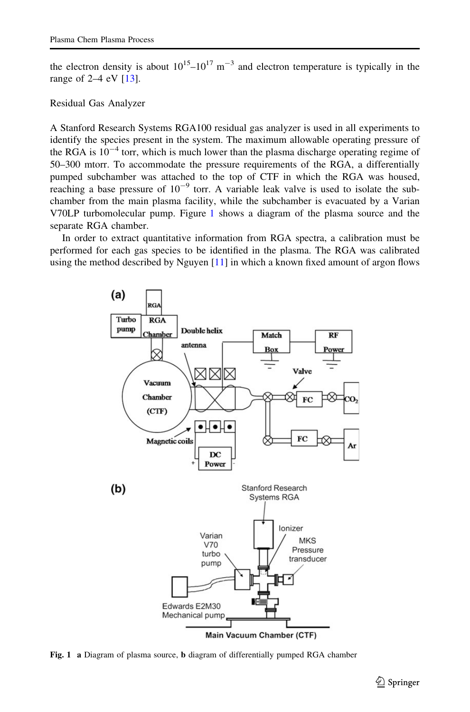the electron density is about  $10^{15} - 10^{17}$  m<sup>-3</sup> and electron temperature is typically in the range of 2–4 eV [[13](#page-10-0)].

## Residual Gas Analyzer

A Stanford Research Systems RGA100 residual gas analyzer is used in all experiments to identify the species present in the system. The maximum allowable operating pressure of the RGA is  $10^{-4}$  torr, which is much lower than the plasma discharge operating regime of 50–300 mtorr. To accommodate the pressure requirements of the RGA, a differentially pumped subchamber was attached to the top of CTF in which the RGA was housed, reaching a base pressure of  $10^{-9}$  torr. A variable leak valve is used to isolate the subchamber from the main plasma facility, while the subchamber is evacuated by a Varian V70LP turbomolecular pump. Figure 1 shows a diagram of the plasma source and the separate RGA chamber.

In order to extract quantitative information from RGA spectra, a calibration must be performed for each gas species to be identified in the plasma. The RGA was calibrated using the method described by Nguyen  $[11]$  $[11]$  $[11]$  in which a known fixed amount of argon flows



Fig. 1 a Diagram of plasma source, b diagram of differentially pumped RGA chamber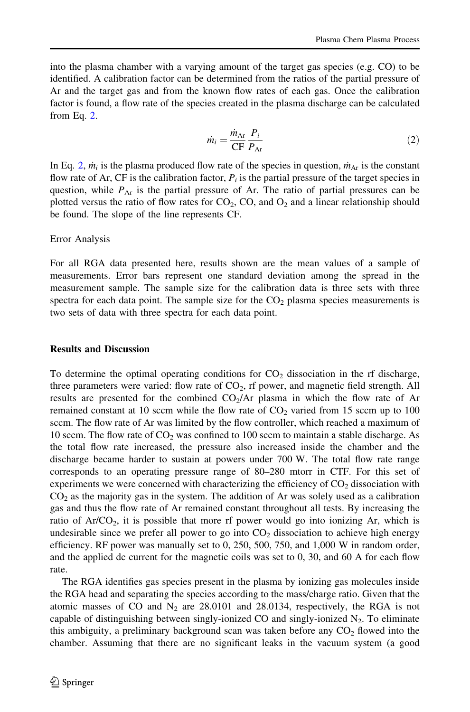into the plasma chamber with a varying amount of the target gas species (e.g. CO) to be identified. A calibration factor can be determined from the ratios of the partial pressure of Ar and the target gas and from the known flow rates of each gas. Once the calibration factor is found, a flow rate of the species created in the plasma discharge can be calculated from Eq. 2.

$$
\dot{m}_i = \frac{\dot{m}_{\text{Ar}}}{\text{CF}} \frac{P_i}{P_{\text{Ar}}} \tag{2}
$$

In Eq. 2,  $\dot{m}_i$  is the plasma produced flow rate of the species in question,  $\dot{m}_{\text{Ar}}$  is the constant flow rate of Ar, CF is the calibration factor,  $P_i$  is the partial pressure of the target species in question, while  $P_{\text{Ar}}$  is the partial pressure of Ar. The ratio of partial pressures can be plotted versus the ratio of flow rates for  $CO<sub>2</sub>$ , CO, and  $O<sub>2</sub>$  and a linear relationship should be found. The slope of the line represents CF.

## Error Analysis

For all RGA data presented here, results shown are the mean values of a sample of measurements. Error bars represent one standard deviation among the spread in the measurement sample. The sample size for the calibration data is three sets with three spectra for each data point. The sample size for the  $CO<sub>2</sub>$  plasma species measurements is two sets of data with three spectra for each data point.

#### Results and Discussion

To determine the optimal operating conditions for  $CO<sub>2</sub>$  dissociation in the rf discharge, three parameters were varied: flow rate of  $CO<sub>2</sub>$ , rf power, and magnetic field strength. All results are presented for the combined  $CO<sub>2</sub>/Ar$  plasma in which the flow rate of Ar remained constant at 10 sccm while the flow rate of  $CO<sub>2</sub>$  varied from 15 sccm up to 100 sccm. The flow rate of Ar was limited by the flow controller, which reached a maximum of 10 sccm. The flow rate of  $CO<sub>2</sub>$  was confined to 100 sccm to maintain a stable discharge. As the total flow rate increased, the pressure also increased inside the chamber and the discharge became harder to sustain at powers under 700 W. The total flow rate range corresponds to an operating pressure range of 80–280 mtorr in CTF. For this set of experiments we were concerned with characterizing the efficiency of  $CO<sub>2</sub>$  dissociation with  $CO<sub>2</sub>$  as the majority gas in the system. The addition of Ar was solely used as a calibration gas and thus the flow rate of Ar remained constant throughout all tests. By increasing the ratio of  $Ar/CO<sub>2</sub>$ , it is possible that more rf power would go into ionizing Ar, which is undesirable since we prefer all power to go into  $CO<sub>2</sub>$  dissociation to achieve high energy efficiency. RF power was manually set to 0, 250, 500, 750, and 1,000 W in random order, and the applied dc current for the magnetic coils was set to 0, 30, and 60 A for each flow rate.

The RGA identifies gas species present in the plasma by ionizing gas molecules inside the RGA head and separating the species according to the mass/charge ratio. Given that the atomic masses of CO and  $N_2$  are 28.0101 and 28.0134, respectively, the RGA is not capable of distinguishing between singly-ionized CO and singly-ionized  $N_2$ . To eliminate this ambiguity, a preliminary background scan was taken before any  $CO<sub>2</sub>$  flowed into the chamber. Assuming that there are no significant leaks in the vacuum system (a good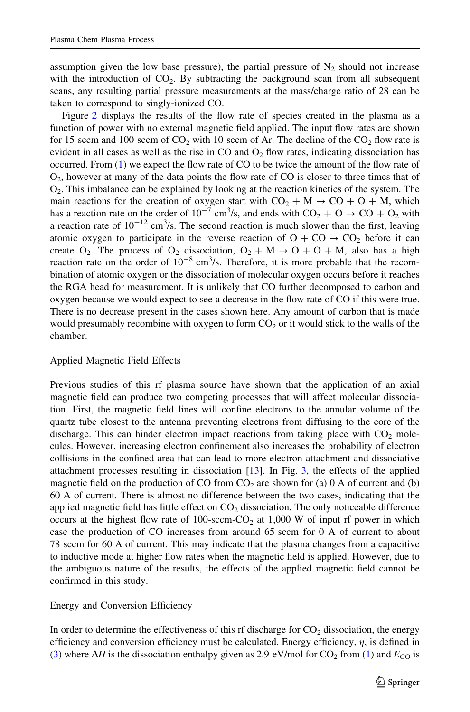assumption given the low base pressure), the partial pressure of  $N_2$  should not increase with the introduction of  $CO<sub>2</sub>$ . By subtracting the background scan from all subsequent scans, any resulting partial pressure measurements at the mass/charge ratio of 28 can be taken to correspond to singly-ionized CO.

Figure [2](#page-5-0) displays the results of the flow rate of species created in the plasma as a function of power with no external magnetic field applied. The input flow rates are shown for 15 sccm and 100 sccm of  $CO<sub>2</sub>$  with 10 sccm of Ar. The decline of the  $CO<sub>2</sub>$  flow rate is evident in all cases as well as the rise in  $CO$  and  $O<sub>2</sub>$  flow rates, indicating dissociation has occurred. From ([1](#page-1-0)) we expect the flow rate of CO to be twice the amount of the flow rate of O2, however at many of the data points the flow rate of CO is closer to three times that of  $O<sub>2</sub>$ . This imbalance can be explained by looking at the reaction kinetics of the system. The main reactions for the creation of oxygen start with  $CO_2 + M \rightarrow CO + O + M$ , which has a reaction rate on the order of  $10^{-7}$  cm<sup>3</sup>/s, and ends with  $CO_2 + O \rightarrow CO + O_2$  with a reaction rate of  $10^{-12}$  cm<sup>3</sup>/s. The second reaction is much slower than the first, leaving atomic oxygen to participate in the reverse reaction of  $O + CO \rightarrow CO_2$  before it can create O<sub>2</sub>. The process of O<sub>2</sub> dissociation,  $O_2 + M \rightarrow O + O + M$ , also has a high reaction rate on the order of  $10^{-8}$  cm<sup>3</sup>/s. Therefore, it is more probable that the recombination of atomic oxygen or the dissociation of molecular oxygen occurs before it reaches the RGA head for measurement. It is unlikely that CO further decomposed to carbon and oxygen because we would expect to see a decrease in the flow rate of CO if this were true. There is no decrease present in the cases shown here. Any amount of carbon that is made would presumably recombine with oxygen to form  $CO<sub>2</sub>$  or it would stick to the walls of the chamber.

# Applied Magnetic Field Effects

Previous studies of this rf plasma source have shown that the application of an axial magnetic field can produce two competing processes that will affect molecular dissociation. First, the magnetic field lines will confine electrons to the annular volume of the quartz tube closest to the antenna preventing electrons from diffusing to the core of the discharge. This can hinder electron impact reactions from taking place with  $CO<sub>2</sub>$  molecules. However, increasing electron confinement also increases the probability of electron collisions in the confined area that can lead to more electron attachment and dissociative attachment processes resulting in dissociation [\[13\]](#page-10-0). In Fig. [3,](#page-6-0) the effects of the applied magnetic field on the production of CO from  $CO<sub>2</sub>$  are shown for (a) 0 A of current and (b) 60 A of current. There is almost no difference between the two cases, indicating that the applied magnetic field has little effect on  $CO<sub>2</sub>$  dissociation. The only noticeable difference occurs at the highest flow rate of 100-sccm- $CO<sub>2</sub>$  at 1,000 W of input rf power in which case the production of CO increases from around 65 sccm for 0 A of current to about 78 sccm for 60 A of current. This may indicate that the plasma changes from a capacitive to inductive mode at higher flow rates when the magnetic field is applied. However, due to the ambiguous nature of the results, the effects of the applied magnetic field cannot be confirmed in this study.

# Energy and Conversion Efficiency

In order to determine the effectiveness of this rf discharge for  $CO<sub>2</sub>$  dissociation, the energy efficiency and conversion efficiency must be calculated. Energy efficiency,  $\eta$ , is defined in ([3\)](#page-5-0) where  $\Delta H$  is the dissociation enthalpy given as 2.9 eV/mol for CO<sub>2</sub> from [\(1\)](#page-1-0) and  $E_{\rm CO}$  is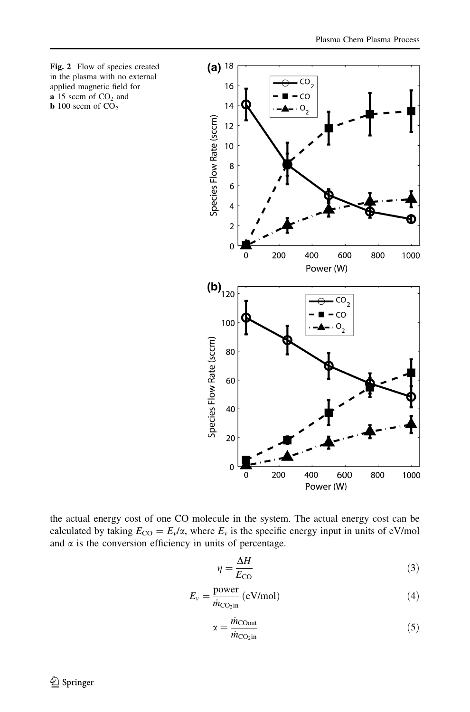<span id="page-5-0"></span>

the actual energy cost of one CO molecule in the system. The actual energy cost can be calculated by taking  $E_{\text{CO}} = E_v/\alpha$ , where  $E_v$  is the specific energy input in units of eV/mol and  $\alpha$  is the conversion efficiency in units of percentage.

$$
\eta = \frac{\Delta H}{E_{\rm CO}}\tag{3}
$$

$$
E_{\nu} = \frac{\text{power}}{\dot{m}_{\text{CO}_2\text{in}}} \text{ (eV/mol)} \tag{4}
$$

$$
\alpha = \frac{\dot{m}_{\text{COut}}}{\dot{m}_{\text{CO}_2\text{in}}} \tag{5}
$$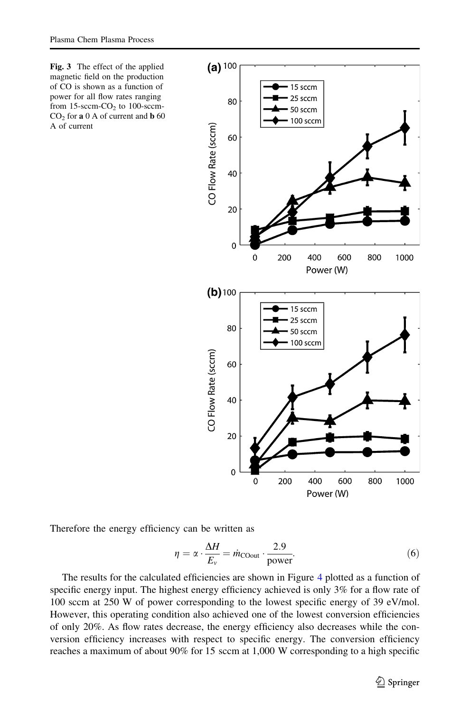<span id="page-6-0"></span>Fig. 3 The effect of the applied magnetic field on the production of CO is shown as a function of power for all flow rates ranging from  $15$ -sccm- $CO<sub>2</sub>$  to  $100$ -sccm- $CO<sub>2</sub>$  for **a** 0 A of current and **b** 60 A of current



Therefore the energy efficiency can be written as

$$
\eta = \alpha \cdot \frac{\Delta H}{E_v} = \dot{m}_{\text{C0out}} \cdot \frac{2.9}{\text{power}}.\tag{6}
$$

The results for the calculated efficiencies are shown in Figure [4](#page-7-0) plotted as a function of specific energy input. The highest energy efficiency achieved is only 3% for a flow rate of 100 sccm at 250 W of power corresponding to the lowest specific energy of 39 eV/mol. However, this operating condition also achieved one of the lowest conversion efficiencies of only 20%. As flow rates decrease, the energy efficiency also decreases while the conversion efficiency increases with respect to specific energy. The conversion efficiency reaches a maximum of about 90% for 15 sccm at 1,000 W corresponding to a high specific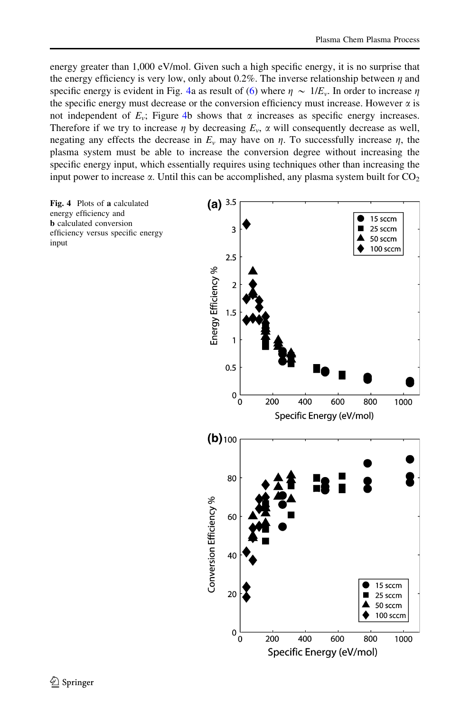<span id="page-7-0"></span>energy greater than 1,000 eV/mol. Given such a high specific energy, it is no surprise that the energy efficiency is very low, only about 0.2%. The inverse relationship between  $\eta$  and specific energy is evident in Fig. 4a as result of [\(6](#page-6-0)) where  $\eta \sim 1/E_v$ . In order to increase  $\eta$ the specific energy must decrease or the conversion efficiency must increase. However  $\alpha$  is not independent of  $E_v$ ; Figure 4b shows that  $\alpha$  increases as specific energy increases. Therefore if we try to increase  $\eta$  by decreasing  $E_{\nu}$ ,  $\alpha$  will consequently decrease as well, negating any effects the decrease in  $E_v$  may have on  $\eta$ . To successfully increase  $\eta$ , the plasma system must be able to increase the conversion degree without increasing the specific energy input, which essentially requires using techniques other than increasing the input power to increase  $\alpha$ . Until this can be accomplished, any plasma system built for  $CO<sub>2</sub>$ 

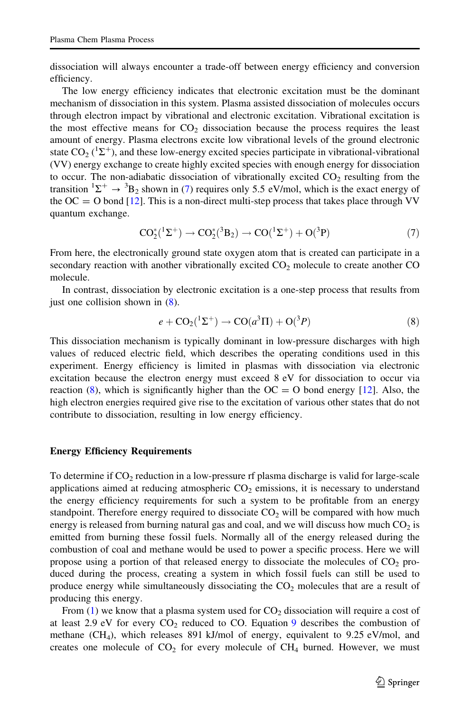dissociation will always encounter a trade-off between energy efficiency and conversion efficiency.

The low energy efficiency indicates that electronic excitation must be the dominant mechanism of dissociation in this system. Plasma assisted dissociation of molecules occurs through electron impact by vibrational and electronic excitation. Vibrational excitation is the most effective means for  $CO<sub>2</sub>$  dissociation because the process requires the least amount of energy. Plasma electrons excite low vibrational levels of the ground electronic state  $CO_2$  ( ${}^{1}\Sigma^{+}$ ), and these low-energy excited species participate in vibrational-vibrational (VV) energy exchange to create highly excited species with enough energy for dissociation to occur. The non-adiabatic dissociation of vibrationally excited  $CO<sub>2</sub>$  resulting from the transition  ${}^{1}\Sigma^{+} \rightarrow {}^{3}B_{2}$  shown in (7) requires only 5.5 eV/mol, which is the exact energy of the  $OC = O$  bond [\[12\]](#page-10-0). This is a non-direct multi-step process that takes place through VV quantum exchange.

$$
CO_2^*(^1\Sigma^+) \to CO_2^*(^3B_2) \to CO(^1\Sigma^+) + O(^3P)
$$
 (7)

From here, the electronically ground state oxygen atom that is created can participate in a secondary reaction with another vibrationally excited  $CO<sub>2</sub>$  molecule to create another  $CO$ molecule.

In contrast, dissociation by electronic excitation is a one-step process that results from just one collision shown in (8).

$$
e + \mathcal{CO}_2(^1\Sigma^+) \rightarrow \mathcal{CO}(a^3\Pi) + \mathcal{O}(3P) \tag{8}
$$

This dissociation mechanism is typically dominant in low-pressure discharges with high values of reduced electric field, which describes the operating conditions used in this experiment. Energy efficiency is limited in plasmas with dissociation via electronic excitation because the electron energy must exceed 8 eV for dissociation to occur via reaction (8), which is significantly higher than the  $OC = O$  bond energy [[12](#page-10-0)]. Also, the high electron energies required give rise to the excitation of various other states that do not contribute to dissociation, resulting in low energy efficiency.

## Energy Efficiency Requirements

To determine if  $CO<sub>2</sub>$  reduction in a low-pressure rf plasma discharge is valid for large-scale applications aimed at reducing atmospheric  $CO<sub>2</sub>$  emissions, it is necessary to understand the energy efficiency requirements for such a system to be profitable from an energy standpoint. Therefore energy required to dissociate  $CO<sub>2</sub>$  will be compared with how much energy is released from burning natural gas and coal, and we will discuss how much  $CO<sub>2</sub>$  is emitted from burning these fossil fuels. Normally all of the energy released during the combustion of coal and methane would be used to power a specific process. Here we will propose using a portion of that released energy to dissociate the molecules of  $CO<sub>2</sub>$  produced during the process, creating a system in which fossil fuels can still be used to produce energy while simultaneously dissociating the  $CO<sub>2</sub>$  molecules that are a result of producing this energy.

From  $(1)$  we know that a plasma system used for  $CO<sub>2</sub>$  dissociation will require a cost of at least 2.[9](#page-9-0) eV for every  $CO_2$  reduced to CO. Equation 9 describes the combustion of methane  $(CH_4)$ , which releases 891 kJ/mol of energy, equivalent to 9.25 eV/mol, and creates one molecule of  $CO<sub>2</sub>$  for every molecule of  $CH<sub>4</sub>$  burned. However, we must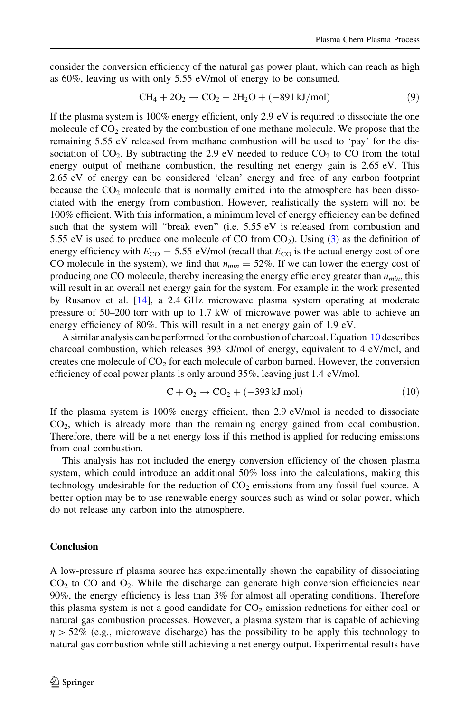<span id="page-9-0"></span>consider the conversion efficiency of the natural gas power plant, which can reach as high as 60%, leaving us with only 5.55 eV/mol of energy to be consumed.

$$
CH_4 + 2O_2 \rightarrow CO_2 + 2H_2O + (-891 \text{ kJ/mol})
$$
\n(9)

If the plasma system is 100% energy efficient, only 2.9 eV is required to dissociate the one molecule of  $CO<sub>2</sub>$  created by the combustion of one methane molecule. We propose that the remaining 5.55 eV released from methane combustion will be used to 'pay' for the dissociation of  $CO<sub>2</sub>$ . By subtracting the 2.9 eV needed to reduce  $CO<sub>2</sub>$  to CO from the total energy output of methane combustion, the resulting net energy gain is 2.65 eV. This 2.65 eV of energy can be considered 'clean' energy and free of any carbon footprint because the  $CO<sub>2</sub>$  molecule that is normally emitted into the atmosphere has been dissociated with the energy from combustion. However, realistically the system will not be 100% efficient. With this information, a minimum level of energy efficiency can be defined such that the system will "break even" (i.e. 5.55 eV is released from combustion and 5.55 eV is used to produce one molecule of CO from  $CO<sub>2</sub>$ ). Using [\(3](#page-5-0)) as the definition of energy efficiency with  $E_{\text{CO}} = 5.55$  eV/mol (recall that  $E_{\text{CO}}$  is the actual energy cost of one CO molecule in the system), we find that  $\eta_{min} = 52\%$ . If we can lower the energy cost of producing one CO molecule, thereby increasing the energy efficiency greater than  $n_{min}$ , this will result in an overall net energy gain for the system. For example in the work presented by Rusanov et al. [\[14\]](#page-10-0), a 2.4 GHz microwave plasma system operating at moderate pressure of 50–200 torr with up to 1.7 kW of microwave power was able to achieve an energy efficiency of 80%. This will result in a net energy gain of 1.9 eV.

A similar analysis can be performed for the combustion of charcoal. Equation 10 describes charcoal combustion, which releases 393 kJ/mol of energy, equivalent to 4 eV/mol, and creates one molecule of  $CO<sub>2</sub>$  for each molecule of carbon burned. However, the conversion efficiency of coal power plants is only around 35%, leaving just 1.4 eV/mol.

$$
C + O_2 \rightarrow CO_2 + (-393 \text{ kJ/mol}) \tag{10}
$$

If the plasma system is 100% energy efficient, then 2.9 eV/mol is needed to dissociate CO2, which is already more than the remaining energy gained from coal combustion. Therefore, there will be a net energy loss if this method is applied for reducing emissions from coal combustion.

This analysis has not included the energy conversion efficiency of the chosen plasma system, which could introduce an additional 50% loss into the calculations, making this technology undesirable for the reduction of  $CO<sub>2</sub>$  emissions from any fossil fuel source. A better option may be to use renewable energy sources such as wind or solar power, which do not release any carbon into the atmosphere.

## Conclusion

A low-pressure rf plasma source has experimentally shown the capability of dissociating  $CO<sub>2</sub>$  to  $CO$  and  $O<sub>2</sub>$ . While the discharge can generate high conversion efficiencies near 90%, the energy efficiency is less than 3% for almost all operating conditions. Therefore this plasma system is not a good candidate for  $CO<sub>2</sub>$  emission reductions for either coal or natural gas combustion processes. However, a plasma system that is capable of achieving  $\eta > 52\%$  (e.g., microwave discharge) has the possibility to be apply this technology to natural gas combustion while still achieving a net energy output. Experimental results have